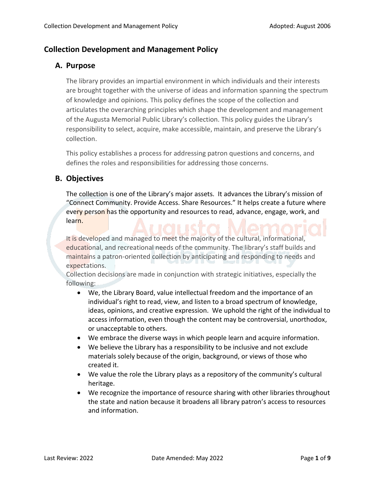# **Collection Development and Management Policy**

#### **A. Purpose**

The library provides an impartial environment in which individuals and their interests are brought together with the universe of ideas and information spanning the spectrum of knowledge and opinions. This policy defines the scope of the collection and articulates the overarching principles which shape the development and management of the Augusta Memorial Public Library's collection. This policy guides the Library's responsibility to select, acquire, make accessible, maintain, and preserve the Library's collection.

This policy establishes a process for addressing patron questions and concerns, and defines the roles and responsibilities for addressing those concerns.

# **B. Objectives**

The collection is one of the Library's major assets. It advances the Library's mission of "Connect Community. Provide Access. Share Resources." It helps create a future where every person has the opportunity and resources to read, advance, engage, work, and learn.

It is developed and managed to meet the majority of the cultural, informational, educational, and recreational needs of the community. The library's staff builds and maintains a patron-oriented collection by anticipating and responding to needs and expectations.

Collection decisions are made in conjunction with strategic initiatives, especially the following:

- We, the Library Board, value intellectual freedom and the importance of an individual's right to read, view, and listen to a broad spectrum of knowledge, ideas, opinions, and creative expression. We uphold the right of the individual to access information, even though the content may be controversial, unorthodox, or unacceptable to others.
- We embrace the diverse ways in which people learn and acquire information.
- We believe the Library has a responsibility to be inclusive and not exclude materials solely because of the origin, background, or views of those who created it.
- We value the role the Library plays as a repository of the community's cultural heritage.
- We recognize the importance of resource sharing with other libraries throughout the state and nation because it broadens all library patron's access to resources and information.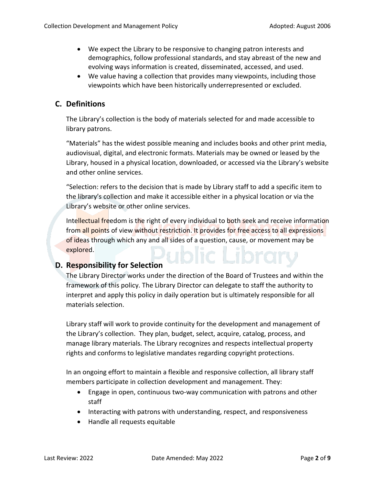- We expect the Library to be responsive to changing patron interests and demographics, follow professional standards, and stay abreast of the new and evolving ways information is created, disseminated, accessed, and used.
- We value having a collection that provides many viewpoints, including those viewpoints which have been historically underrepresented or excluded.

# **C. Definitions**

The Library's collection is the body of materials selected for and made accessible to library patrons.

"Materials" has the widest possible meaning and includes books and other print media, audiovisual, digital, and electronic formats. Materials may be owned or leased by the Library, housed in a physical location, downloaded, or accessed via the Library's website and other online services.

"Selection: refers to the decision that is made by Library staff to add a specific item to the library's collection and make it accessible either in a physical location or via the Library's website or other online services.

Intellectual freedom is the right of every individual to both seek and receive information from all points of view without restriction. It provides for free access to all expressions of ideas through which any and all sides of a question, cause, or movement may be explored.

# **D. Responsibility for Selection**

The Library Director works under the direction of the Board of Trustees and within the framework of this policy. The Library Director can delegate to staff the authority to interpret and apply this policy in daily operation but is ultimately responsible for all materials selection.

Library staff will work to provide continuity for the development and management of the Library's collection. They plan, budget, select, acquire, catalog, process, and manage library materials. The Library recognizes and respects intellectual property rights and conforms to legislative mandates regarding copyright protections.

In an ongoing effort to maintain a flexible and responsive collection, all library staff members participate in collection development and management. They:

- Engage in open, continuous two-way communication with patrons and other staff
- Interacting with patrons with understanding, respect, and responsiveness
- Handle all requests equitable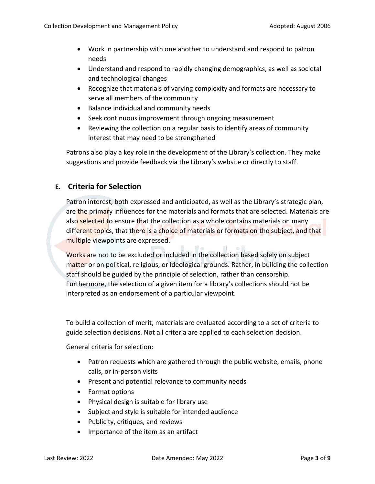- Work in partnership with one another to understand and respond to patron needs
- Understand and respond to rapidly changing demographics, as well as societal and technological changes
- Recognize that materials of varying complexity and formats are necessary to serve all members of the community
- Balance individual and community needs
- Seek continuous improvement through ongoing measurement
- Reviewing the collection on a regular basis to identify areas of community interest that may need to be strengthened

Patrons also play a key role in the development of the Library's collection. They make suggestions and provide feedback via the Library's website or directly to staff.

# **E. Criteria for Selection**

Patron interest, both expressed and anticipated, as well as the Library's strategic plan, are the primary influences for the materials and formats that are selected. Materials are also selected to ensure that the collection as a whole contains materials on many different topics, that there is a choice of materials or formats on the subject, and that multiple viewpoints are expressed.

Works are not to be excluded or included in the collection based solely on subject matter or on political, religious, or ideological grounds. Rather, in building the collection staff should be guided by the principle of selection, rather than censorship. Furthermore, the selection of a given item for a library's collections should not be interpreted as an endorsement of a particular viewpoint.

To build a collection of merit, materials are evaluated according to a set of criteria to guide selection decisions. Not all criteria are applied to each selection decision.

General criteria for selection:

- Patron requests which are gathered through the public website, emails, phone calls, or in-person visits
- Present and potential relevance to community needs
- Format options
- Physical design is suitable for library use
- Subject and style is suitable for intended audience
- Publicity, critiques, and reviews
- Importance of the item as an artifact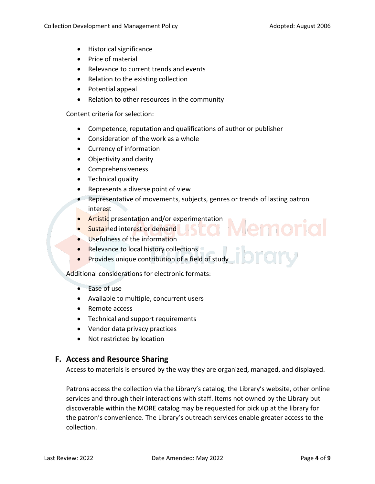- Historical significance
- Price of material
- Relevance to current trends and events
- Relation to the existing collection
- Potential appeal
- Relation to other resources in the community

Content criteria for selection:

- Competence, reputation and qualifications of author or publisher
- Consideration of the work as a whole
- Currency of information
- Objectivity and clarity
- Comprehensiveness
- Technical quality
- Represents a diverse point of view
- Representative of movements, subjects, genres or trends of lasting patron interest
- **Artistic** presentation and/or experimentation
- Sustained interest or demand
- Usefulness of the information
- Relevance to local history collections
- ibrary • Provides unique contribution of a field of study

Additional considerations for electronic formats:

- Ease of use
- Available to multiple, concurrent users
- Remote access
- Technical and support requirements
- Vendor data privacy practices
- Not restricted by location

# **F. Access and Resource Sharing**

Access to materials is ensured by the way they are organized, managed, and displayed.

Patrons access the collection via the Library's catalog, the Library's website, other online services and through their interactions with staff. Items not owned by the Library but discoverable within the MORE catalog may be requested for pick up at the library for the patron's convenience. The Library's outreach services enable greater access to the collection.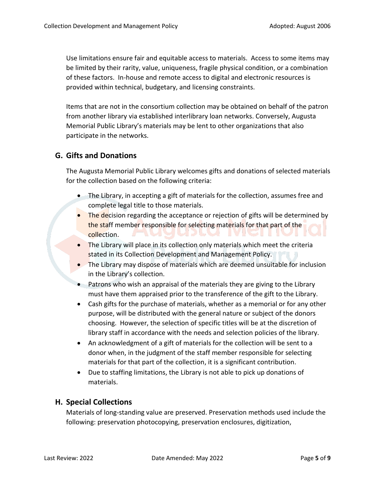Use limitations ensure fair and equitable access to materials. Access to some items may be limited by their rarity, value, uniqueness, fragile physical condition, or a combination of these factors. In-house and remote access to digital and electronic resources is provided within technical, budgetary, and licensing constraints.

Items that are not in the consortium collection may be obtained on behalf of the patron from another library via established interlibrary loan networks. Conversely, Augusta Memorial Public Library's materials may be lent to other organizations that also participate in the networks.

# **G. Gifts and Donations**

The Augusta Memorial Public Library welcomes gifts and donations of selected materials for the collection based on the following criteria:

- The Library, in accepting a gift of materials for the collection, assumes free and complete legal title to those materials.
- The decision regarding the acceptance or rejection of gifts will be determined by the staff member responsible for selecting materials for that part of the collection.
- The Library will place in its collection only materials which meet the criteria stated in its Collection Development and Management Policy.
- The Library may dispose of materials which are deemed unsuitable for inclusion in the Library's collection.
- Patrons who wish an appraisal of the materials they are giving to the Library must have them appraised prior to the transference of the gift to the Library.
- Cash gifts for the purchase of materials, whether as a memorial or for any other purpose, will be distributed with the general nature or subject of the donors choosing. However, the selection of specific titles will be at the discretion of library staff in accordance with the needs and selection policies of the library.
- An acknowledgment of a gift of materials for the collection will be sent to a donor when, in the judgment of the staff member responsible for selecting materials for that part of the collection, it is a significant contribution.
- Due to staffing limitations, the Library is not able to pick up donations of materials.

# **H. Special Collections**

Materials of long-standing value are preserved. Preservation methods used include the following: preservation photocopying, preservation enclosures, digitization,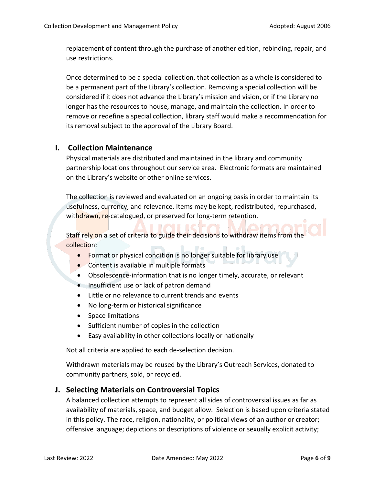replacement of content through the purchase of another edition, rebinding, repair, and use restrictions.

Once determined to be a special collection, that collection as a whole is considered to be a permanent part of the Library's collection. Removing a special collection will be considered if it does not advance the Library's mission and vision, or if the Library no longer has the resources to house, manage, and maintain the collection. In order to remove or redefine a special collection, library staff would make a recommendation for its removal subject to the approval of the Library Board.

# **I. Collection Maintenance**

Physical materials are distributed and maintained in the library and community partnership locations throughout our service area. Electronic formats are maintained on the Library's website or other online services.

The collection is reviewed and evaluated on an ongoing basis in order to maintain its usefulness, currency, and relevance. Items may be kept, redistributed, repurchased, withdrawn, re-catalogued, or preserved for long-term retention.

Staff rely on a set of criteria to guide their decisions to withdraw items from the collection:

- Format or physical condition is no longer suitable for library use
- Content is available in multiple formats
- Obsolescence-information that is no longer timely, accurate, or relevant
- Insufficient use or lack of patron demand
- Little or no relevance to current trends and events
- No long-term or historical significance
- Space limitations
- Sufficient number of copies in the collection
- Easy availability in other collections locally or nationally

Not all criteria are applied to each de-selection decision.

Withdrawn materials may be reused by the Library's Outreach Services, donated to community partners, sold, or recycled.

#### **J. Selecting Materials on Controversial Topics**

A balanced collection attempts to represent all sides of controversial issues as far as availability of materials, space, and budget allow. Selection is based upon criteria stated in this policy. The race, religion, nationality, or political views of an author or creator; offensive language; depictions or descriptions of violence or sexually explicit activity;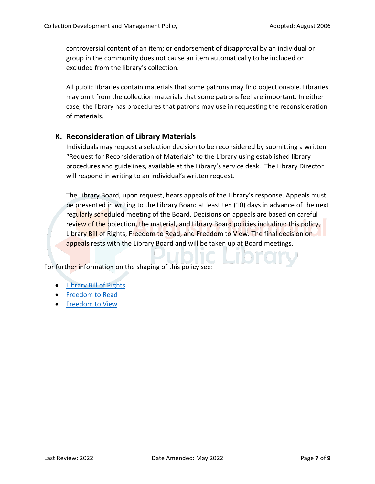controversial content of an item; or endorsement of disapproval by an individual or group in the community does not cause an item automatically to be included or excluded from the library's collection.

All public libraries contain materials that some patrons may find objectionable. Libraries may omit from the collection materials that some patrons feel are important. In either case, the library has procedures that patrons may use in requesting the reconsideration of materials.

#### **K. Reconsideration of Library Materials**

Individuals may request a selection decision to be reconsidered by submitting a written "Request for Reconsideration of Materials" to the Library using established library procedures and guidelines, available at the Library's service desk. The Library Director will respond in writing to an individual's written request.

The Library Board, upon request, hears appeals of the Library's response. Appeals must be presented in writing to the Library Board at least ten (10) days in advance of the next regularly scheduled meeting of the Board. Decisions on appeals are based on careful review of the objection, the material, and Library Board policies including: this policy, Library Bill of Rights, Freedom to Read, and Freedom to View. The final decision on appeals rests with the Library Board and will be taken up at Board meetings.

For further information on the shaping of this policy see:

- [Library Bill of Rights](https://www.ala.org/advocacy/intfreedom/librarybill)
- [Freedom to Read](https://www.ala.org/advocacy/intfreedom/freedomreadstatement)
- [Freedom to View](https://www.ala.org/advocacy/intfreedom/freedomviewstatement)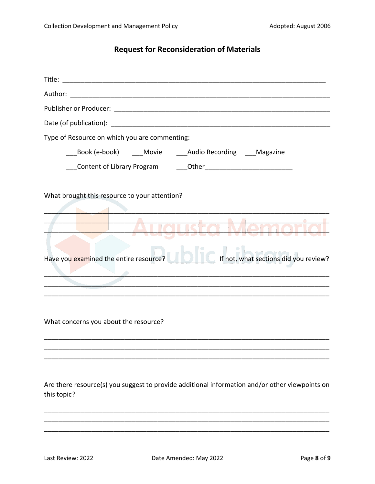# **Request for Reconsideration of Materials**

| Type of Resource on which you are commenting:                                                                                                                                  |
|--------------------------------------------------------------------------------------------------------------------------------------------------------------------------------|
| Book (e-book) ____Movie _____Audio Recording ____Magazine                                                                                                                      |
|                                                                                                                                                                                |
| What brought this resource to your attention?<br><del>e - Augusta Memoria</del><br>Have you examined the entire resource? <b>The Community of the Sections did you review?</b> |
|                                                                                                                                                                                |
| What concerns you about the resource?                                                                                                                                          |

Are there resource(s) you suggest to provide additional information and/or other viewpoints on this topic?